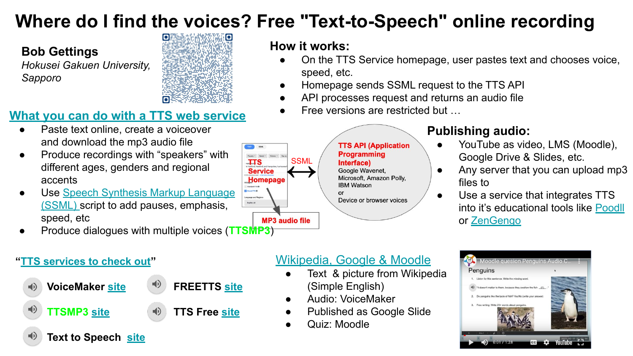## **Where do I find the voices? Free "Text-to-Speech" online recording**

**How it works:**

speed, etc.

## **Bob Gettings**

*Hokusei Gakuen University, Sapporo*



## **[What you can do with a TTS web service](#page-1-0)**

- Paste text online, create a voiceover and download the mp3 audio file
- Produce recordings with "speakers" with different ages, genders and regional accents
- Use [Speech Synthesis Markup Language](#page-3-0) [\(SSML\) s](#page-3-0)cript to add pauses, emphasis, speed, etc
- Produce dialogues with multiple voices (**TTSMP3**)

### **TTS API (Application Programming SSML** Interface) Google Wavenet. Microsoft, Amazon Polly. **IBM Watson**  $\alpha$ r Device or browser voices

## **Publishing audio:**

On the TTS Service homepage, user pastes text and chooses voice,

● Homepage sends SSML request to the TTS API API processes request and returns an audio file

Free versions are restricted but ...

- YouTube as video, LMS (Moodle), Google Drive & Slides, etc.
- Any server that you can upload mp3 files to
- Use a service that integrates TTS into it's educational tools like [Poodll](https://poodll.com/) or [ZenGengo](https://www.zengengo.com/)

### **["TTS services to check out](#page-5-0)"**



**Text to Speech [site](https://texttospeech.freebusinessapps.net/en/text-to-speech)**



- 
- 

- - (Simple English) Audio: VoiceMaker
	- **Published as Google Slide**

[Wikipedia, Google & Moodle](#page-2-0)

Text & picture from Wikipedia

Quiz: Moodle



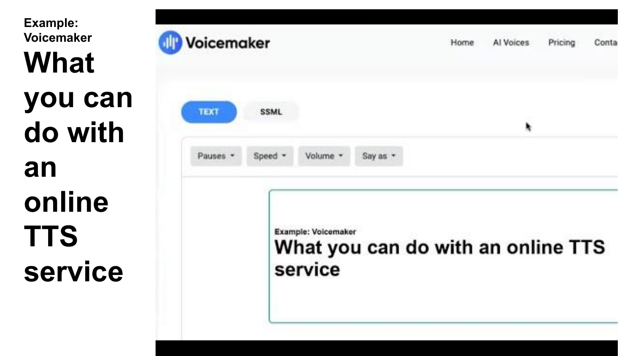<span id="page-1-0"></span>**Example: Voicemaker What you can do with an online TTS service**

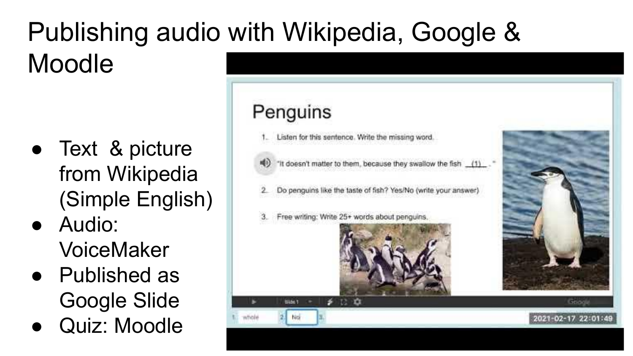# <span id="page-2-0"></span>Publishing audio with Wikipedia, Google & Moodle

- Text & picture from Wikipedia (Simple English)
- Audio: VoiceMaker
- Published as Google Slide
- Quiz: Moodle

## Penguins

- Listen for this sentence. Write the missing word.
- "It doesn't matter to them, because they swallow the fish (1)
- Do penguins like the taste of fish? Yes/No (write your answer)
- Free writing: Write 25+ words about penguins.





Googl 2021-02-17 22:01:49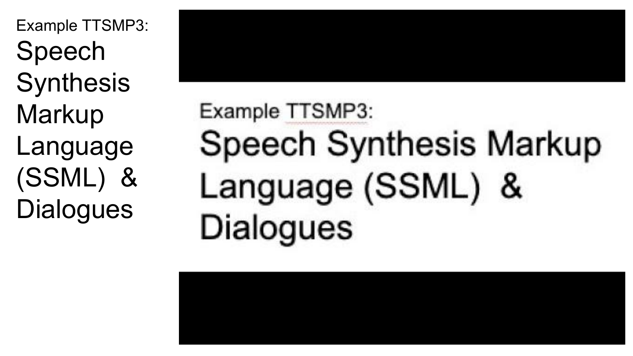<span id="page-3-0"></span>Example TTSMP3: Speech **Synthesis Markup** Language (SSML) & **Dialogues** 

# Example TTSMP3: Speech Synthesis Markup Language (SSML) & **Dialogues**

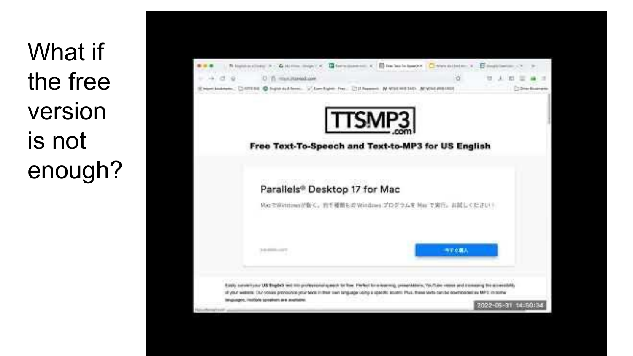What if the free version is not enough?